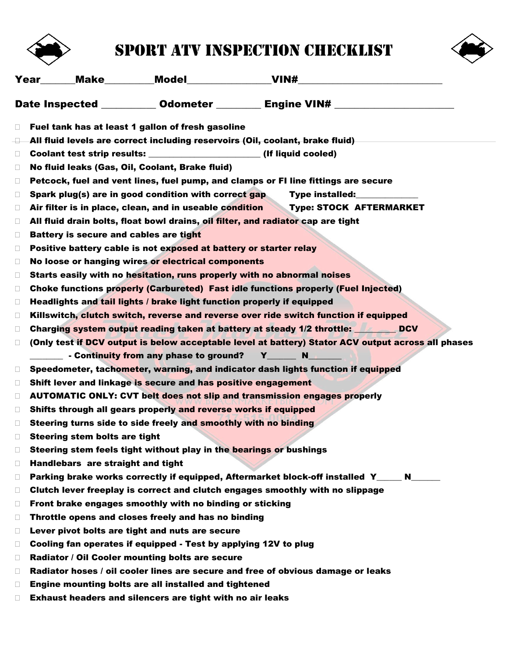

## Sport ATV inspection checklist



|        | <b>Year</b> Make Model VIN#                                                                        |
|--------|----------------------------------------------------------------------------------------------------|
|        | Date Inspected ___________ Odometer _________ Engine VIN# ______________________                   |
| $\Box$ | Fuel tank has at least 1 gallon of fresh gasoline                                                  |
| O.     | All fluid levels are correct including reservoirs (Oil, coolant, brake fluid)                      |
| $\Box$ | Coolant test strip results: ________________________(If liquid cooled)                             |
| Ц      | No fluid leaks (Gas, Oil, Coolant, Brake fluid)                                                    |
| $\Box$ | Petcock, fuel and vent lines, fuel pump, and clamps or FI line fittings are secure                 |
| $\Box$ | Spark plug(s) are in good condition with correct gap<br>Type installed:                            |
| $\Box$ | Air filter is in place, clean, and in useable condition<br>Type: STOCK AFTERMARKET                 |
| $\Box$ | All fluid drain bolts, float bowl drains, oil filter, and radiator cap are tight                   |
| $\Box$ | Battery is secure and cables are tight                                                             |
| $\Box$ | Positive battery cable is not exposed at battery or starter relay                                  |
| $\Box$ | No loose or hanging wires or electrical components                                                 |
| $\Box$ | Starts easily with no hesitation, runs properly with no abnormal noises                            |
| $\Box$ | Choke functions properly (Carbureted) Fast idle functions properly (Fuel Injected)                 |
| $\Box$ | Headlights and tail lights / brake light function properly if equipped                             |
| $\Box$ | Killswitch, clutch switch, reverse and reverse over ride switch function if equipped               |
| $\Box$ | Charging system output reading taken at battery at steady 1/2 throttle: DCV                        |
| $\Box$ | (Only test if DCV output is below acceptable level at battery) Stator ACV output across all phases |
|        | Continuity from any phase to ground? Y_____<br>N <sub>1</sub>                                      |
| $\Box$ | Speedometer, tachometer, warning, and indicator dash lights function if equipped                   |
| $\Box$ | Shift lever and linkage is secure and has positive engagement                                      |
| $\Box$ | <b>AUTOMATIC ONLY: CVT belt does not slip and transmission engages properly</b>                    |
| $\Box$ | Shifts through all gears properly and reverse works if equipped                                    |
| $\Box$ | Steering turns side to side freely and smoothly with no binding                                    |
| П      | <b>Steering stem bolts are tight</b>                                                               |
| $\Box$ | Steering stem feels tight without play in the bearings or bushings                                 |
| $\Box$ | Handlebars are straight and tight                                                                  |
| $\Box$ | Parking brake works correctly if equipped, Aftermarket block-off installed Y____ N____             |
| $\Box$ | Clutch lever freeplay is correct and clutch engages smoothly with no slippage                      |
| $\Box$ | Front brake engages smoothly with no binding or sticking                                           |
| $\Box$ | Throttle opens and closes freely and has no binding                                                |
| Ц      | Lever pivot bolts are tight and nuts are secure                                                    |
| $\Box$ | Cooling fan operates if equipped - Test by applying 12V to plug                                    |
| $\Box$ | Radiator / Oil Cooler mounting bolts are secure                                                    |
| $\Box$ | Radiator hoses / oil cooler lines are secure and free of obvious damage or leaks                   |
| $\Box$ | Engine mounting bolts are all installed and tightened                                              |
| $\Box$ | Exhaust headers and silencers are tight with no air leaks                                          |